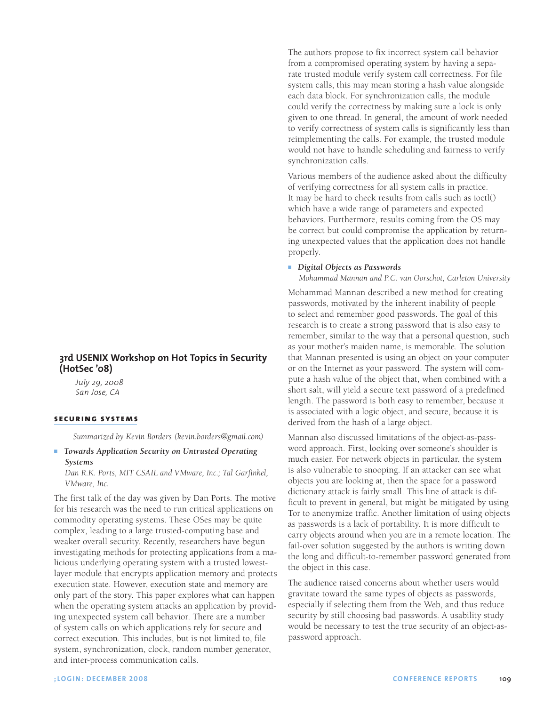# **3rd USENIX Workshop on Hot Topics in Security (HotSec '08)**

*July 29, 2008 San Jose, CA*

## **securing systems**

*Summarized by Kevin Borders (kevin.borders@gmail.com)*

## ■ *Towards Application Security on Untrusted Operating Systems*

*Dan R.K. Ports, MIT CSAIL and VMware, Inc.; Tal Garfinkel, VMware, Inc.*

The first talk of the day was given by Dan Ports. The motive for his research was the need to run critical applications on commodity operating systems. These OSes may be quite complex, leading to a large trusted-computing base and weaker overall security. Recently, researchers have begun investigating methods for protecting applications from a malicious underlying operating system with a trusted lowestlayer module that encrypts application memory and protects execution state. However, execution state and memory are only part of the story. This paper explores what can happen when the operating system attacks an application by providing unexpected system call behavior. There are a number of system calls on which applications rely for secure and correct execution. This includes, but is not limited to, file system, synchronization, clock, random number generator, and inter-process communication calls.

The authors propose to fix incorrect system call behavior from a compromised operating system by having a separate trusted module verify system call correctness. For file system calls, this may mean storing a hash value alongside each data block. For synchronization calls, the module could verify the correctness by making sure a lock is only given to one thread. In general, the amount of work needed to verify correctness of system calls is significantly less than reimplementing the calls. For example, the trusted module would not have to handle scheduling and fairness to verify synchronization calls.

Various members of the audience asked about the difficulty of verifying correctness for all system calls in practice. It may be hard to check results from calls such as ioctl() which have a wide range of parameters and expected behaviors. Furthermore, results coming from the OS may be correct but could compromise the application by returning unexpected values that the application does not handle properly.

#### ■ *Digital Objects as Passwords*

*Mohammad Mannan and P.C. van Oorschot, Carleton University*

Mohammad Mannan described a new method for creating passwords, motivated by the inherent inability of people to select and remember good passwords. The goal of this research is to create a strong password that is also easy to remember, similar to the way that a personal question, such as your mother's maiden name, is memorable. The solution that Mannan presented is using an object on your computer or on the Internet as your password. The system will compute a hash value of the object that, when combined with a short salt, will yield a secure text password of a predefined length. The password is both easy to remember, because it is associated with a logic object, and secure, because it is derived from the hash of a large object.

Mannan also discussed limitations of the object-as-password approach. First, looking over someone's shoulder is much easier. For network objects in particular, the system is also vulnerable to snooping. If an attacker can see what objects you are looking at, then the space for a password dictionary attack is fairly small. This line of attack is difficult to prevent in general, but might be mitigated by using Tor to anonymize traffic. Another limitation of using objects as passwords is a lack of portability. It is more difficult to carry objects around when you are in a remote location. The fail-over solution suggested by the authors is writing down the long and difficult-to-remember password generated from the object in this case.

The audience raised concerns about whether users would gravitate toward the same types of objects as passwords, especially if selecting them from the Web, and thus reduce security by still choosing bad passwords. A usability study would be necessary to test the true security of an object-aspassword approach.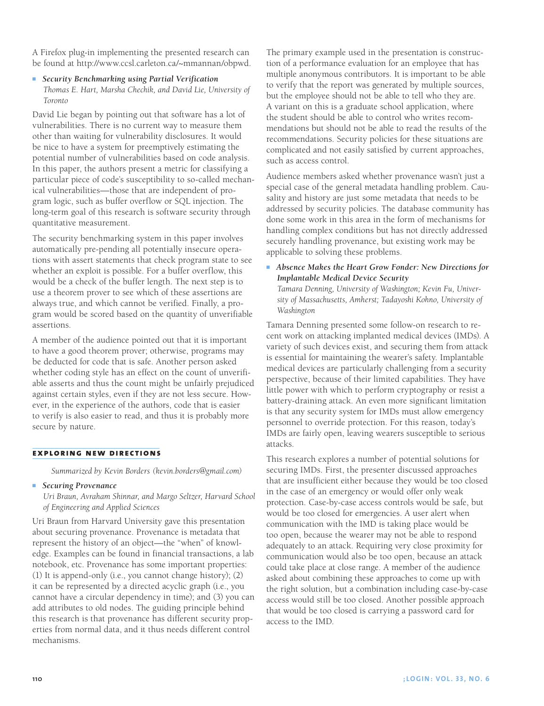A Firefox plug-in implementing the presented research can be found at http://www.ccsl.carleton.ca/~mmannan/obpwd.

<sup>n</sup> *Security Benchmarking using Partial Verification Thomas E. Hart, Marsha Chechik, and David Lie, University of Toronto*

David Lie began by pointing out that software has a lot of vulnerabilities. There is no current way to measure them other than waiting for vulnerability disclosures. It would be nice to have a system for preemptively estimating the potential number of vulnerabilities based on code analysis. In this paper, the authors present a metric for classifying a particular piece of code's susceptibility to so-called mechanical vulnerabilities—those that are independent of program logic, such as buffer overflow or SQL injection. The long-term goal of this research is software security through quantitative measurement.

The security benchmarking system in this paper involves automatically pre-pending all potentially insecure operations with assert statements that check program state to see whether an exploit is possible. For a buffer overflow, this would be a check of the buffer length. The next step is to use a theorem prover to see which of these assertions are always true, and which cannot be verified. Finally, a program would be scored based on the quantity of unverifiable assertions.

A member of the audience pointed out that it is important to have a good theorem prover; otherwise, programs may be deducted for code that is safe. Another person asked whether coding style has an effect on the count of unverifiable asserts and thus the count might be unfairly prejudiced against certain styles, even if they are not less secure. However, in the experience of the authors, code that is easier to verify is also easier to read, and thus it is probably more secure by nature.

# **exploring new directions**

*Summarized by Kevin Borders (kevin.borders@gmail.com)*

**n** Securing Provenance

*Uri Braun, Avraham Shinnar, and Margo Seltzer, Harvard School of Engineering and Applied Sciences*

Uri Braun from Harvard University gave this presentation about securing provenance. Provenance is metadata that represent the history of an object—the "when" of knowledge. Examples can be found in financial transactions, a lab notebook, etc. Provenance has some important properties: (1) It is append-only (i.e., you cannot change history); (2) it can be represented by a directed acyclic graph (i.e., you cannot have a circular dependency in time); and (3) you can add attributes to old nodes. The guiding principle behind this research is that provenance has different security properties from normal data, and it thus needs different control mechanisms.

The primary example used in the presentation is construction of a performance evaluation for an employee that has multiple anonymous contributors. It is important to be able to verify that the report was generated by multiple sources, but the employee should not be able to tell who they are. A variant on this is a graduate school application, where the student should be able to control who writes recommendations but should not be able to read the results of the recommendations. Security policies for these situations are complicated and not easily satisfied by current approaches, such as access control.

Audience members asked whether provenance wasn't just a special case of the general metadata handling problem. Causality and history are just some metadata that needs to be addressed by security policies. The database community has done some work in this area in the form of mechanisms for handling complex conditions but has not directly addressed securely handling provenance, but existing work may be applicable to solving these problems.

**Absence Makes the Heart Grow Fonder: New Directions for** *Implantable Medical Device Security*

*Tamara Denning, University of Washington; Kevin Fu, University of Massachusetts, Amherst; Tadayoshi Kohno, University of Washington*

Tamara Denning presented some follow-on research to recent work on attacking implanted medical devices (IMDs). A variety of such devices exist, and securing them from attack is essential for maintaining the wearer's safety. Implantable medical devices are particularly challenging from a security perspective, because of their limited capabilities. They have little power with which to perform cryptography or resist a battery-draining attack. An even more significant limitation is that any security system for IMDs must allow emergency personnel to override protection. For this reason, today's IMDs are fairly open, leaving wearers susceptible to serious attacks.

This research explores a number of potential solutions for securing IMDs. First, the presenter discussed approaches that are insufficient either because they would be too closed in the case of an emergency or would offer only weak protection. Case-by-case access controls would be safe, but would be too closed for emergencies. A user alert when communication with the IMD is taking place would be too open, because the wearer may not be able to respond adequately to an attack. Requiring very close proximity for communication would also be too open, because an attack could take place at close range. A member of the audience asked about combining these approaches to come up with the right solution, but a combination including case-by-case access would still be too closed. Another possible approach that would be too closed is carrying a password card for access to the IMD.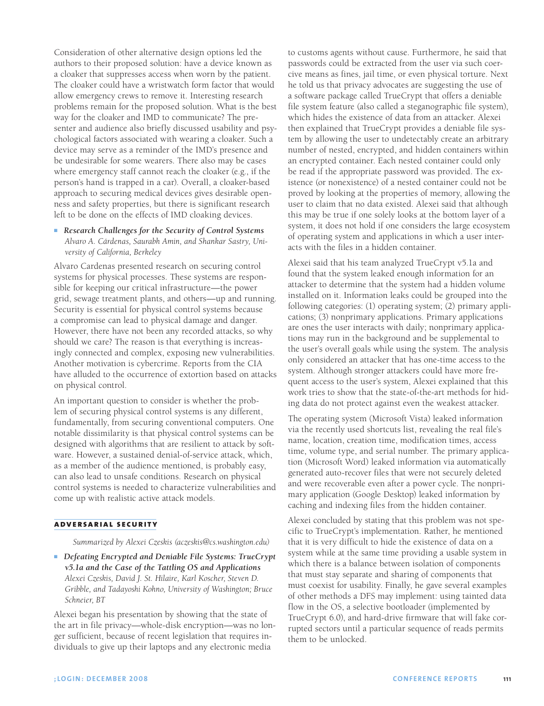Consideration of other alternative design options led the authors to their proposed solution: have a device known as a cloaker that suppresses access when worn by the patient. The cloaker could have a wristwatch form factor that would allow emergency crews to remove it. Interesting research problems remain for the proposed solution. What is the best way for the cloaker and IMD to communicate? The presenter and audience also briefly discussed usability and psychological factors associated with wearing a cloaker. Such a device may serve as a reminder of the IMD's presence and be undesirable for some wearers. There also may be cases where emergency staff cannot reach the cloaker (e.g., if the person's hand is trapped in a car). Overall, a cloaker-based approach to securing medical devices gives desirable openness and safety properties, but there is significant research left to be done on the effects of IMD cloaking devices.

# **Research Challenges for the Security of Control Systems** *Alvaro A. Cárdenas, Saurabh Amin, and Shankar Sastry, University of California, Berkeley*

Alvaro Cardenas presented research on securing control systems for physical processes. These systems are responsible for keeping our critical infrastructure—the power grid, sewage treatment plants, and others—up and running. Security is essential for physical control systems because a compromise can lead to physical damage and danger. However, there have not been any recorded attacks, so why should we care? The reason is that everything is increasingly connected and complex, exposing new vulnerabilities. Another motivation is cybercrime. Reports from the CIA have alluded to the occurrence of extortion based on attacks on physical control.

An important question to consider is whether the problem of securing physical control systems is any different, fundamentally, from securing conventional computers. One notable dissimilarity is that physical control systems can be designed with algorithms that are resilient to attack by software. However, a sustained denial-of-service attack, which, as a member of the audience mentioned, is probably easy, can also lead to unsafe conditions. Research on physical control systems is needed to characterize vulnerabilities and come up with realistic active attack models.

#### **adversarial security**

*Summarized by Alexei Czeskis (aczeskis@cs.washington.edu)*

■ *Defeating Encrypted and Deniable File Systems: TrueCrypt v5.1a and the Case of the Tattling OS and Applications Alexei Czeskis, David J. St. Hilaire, Karl Koscher, Steven D. Gribble, and Tadayoshi Kohno, University of Washington; Bruce Schneier, BT*

Alexei began his presentation by showing that the state of the art in file privacy—whole-disk encryption—was no longer sufficient, because of recent legislation that requires individuals to give up their laptops and any electronic media

to customs agents without cause. Furthermore, he said that passwords could be extracted from the user via such coercive means as fines, jail time, or even physical torture. Next he told us that privacy advocates are suggesting the use of a software package called TrueCrypt that offers a deniable file system feature (also called a steganographic file system), which hides the existence of data from an attacker. Alexei then explained that TrueCrypt provides a deniable file system by allowing the user to undetectably create an arbitrary number of nested, encrypted, and hidden containers within an encrypted container. Each nested container could only be read if the appropriate password was provided. The existence (or nonexistence) of a nested container could not be proved by looking at the properties of memory, allowing the user to claim that no data existed. Alexei said that although this may be true if one solely looks at the bottom layer of a system, it does not hold if one considers the large ecosystem of operating system and applications in which a user interacts with the files in a hidden container.

Alexei said that his team analyzed TrueCrypt v5.1a and found that the system leaked enough information for an attacker to determine that the system had a hidden volume installed on it. Information leaks could be grouped into the following categories: (1) operating system; (2) primary applications; (3) nonprimary applications. Primary applications are ones the user interacts with daily; nonprimary applications may run in the background and be supplemental to the user's overall goals while using the system. The analysis only considered an attacker that has one-time access to the system. Although stronger attackers could have more frequent access to the user's system, Alexei explained that this work tries to show that the state-of-the-art methods for hiding data do not protect against even the weakest attacker.

The operating system (Microsoft Vista) leaked information via the recently used shortcuts list, revealing the real file's name, location, creation time, modification times, access time, volume type, and serial number. The primary application (Microsoft Word) leaked information via automatically generated auto-recover files that were not securely deleted and were recoverable even after a power cycle. The nonprimary application (Google Desktop) leaked information by caching and indexing files from the hidden container.

Alexei concluded by stating that this problem was not specific to TrueCrypt's implementation. Rather, he mentioned that it is very difficult to hide the existence of data on a system while at the same time providing a usable system in which there is a balance between isolation of components that must stay separate and sharing of components that must coexist for usability. Finally, he gave several examples of other methods a DFS may implement: using tainted data flow in the OS, a selective bootloader (implemented by TrueCrypt 6.0), and hard-drive firmware that will fake corrupted sectors until a particular sequence of reads permits them to be unlocked.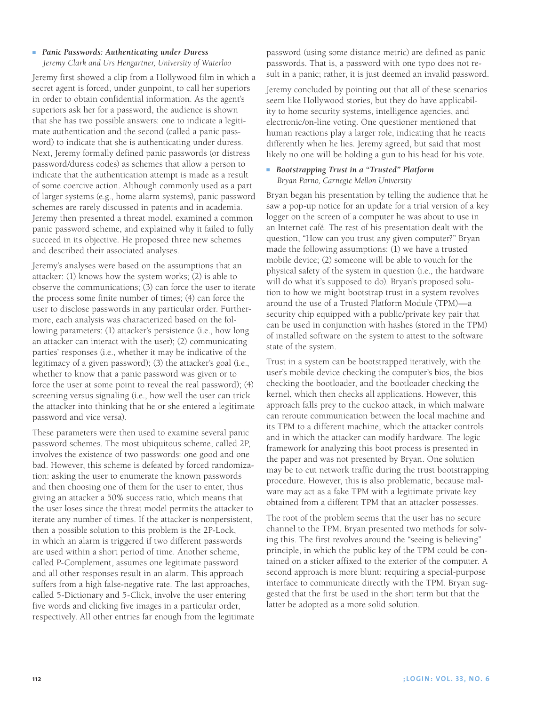# ■ *Panic Passwords: Authenticating under Duress*

*Jeremy Clark and Urs Hengartner, University of Waterloo*

Jeremy first showed a clip from a Hollywood film in which a secret agent is forced, under gunpoint, to call her superiors in order to obtain confidential information. As the agent's superiors ask her for a password, the audience is shown that she has two possible answers: one to indicate a legitimate authentication and the second (called a panic password) to indicate that she is authenticating under duress. Next, Jeremy formally defined panic passwords (or distress password/duress codes) as schemes that allow a person to indicate that the authentication attempt is made as a result of some coercive action. Although commonly used as a part of larger systems (e.g., home alarm systems), panic password schemes are rarely discussed in patents and in academia. Jeremy then presented a threat model, examined a common panic password scheme, and explained why it failed to fully succeed in its objective. He proposed three new schemes and described their associated analyses.

Jeremy's analyses were based on the assumptions that an attacker: (1) knows how the system works; (2) is able to observe the communications; (3) can force the user to iterate the process some finite number of times; (4) can force the user to disclose passwords in any particular order. Furthermore, each analysis was characterized based on the following parameters: (1) attacker's persistence (i.e., how long an attacker can interact with the user); (2) communicating parties' responses (i.e., whether it may be indicative of the legitimacy of a given password); (3) the attacker's goal (i.e., whether to know that a panic password was given or to force the user at some point to reveal the real password); (4) screening versus signaling (i.e., how well the user can trick the attacker into thinking that he or she entered a legitimate password and vice versa).

These parameters were then used to examine several panic password schemes. The most ubiquitous scheme, called 2P, involves the existence of two passwords: one good and one bad. However, this scheme is defeated by forced randomization: asking the user to enumerate the known passwords and then choosing one of them for the user to enter, thus giving an attacker a 50% success ratio, which means that the user loses since the threat model permits the attacker to iterate any number of times. If the attacker is nonpersistent, then a possible solution to this problem is the 2P-Lock, in which an alarm is triggered if two different passwords are used within a short period of time. Another scheme, called P-Complement, assumes one legitimate password and all other responses result in an alarm. This approach suffers from a high false-negative rate. The last approaches, called 5-Dictionary and 5-Click, involve the user entering five words and clicking five images in a particular order, respectively. All other entries far enough from the legitimate password (using some distance metric) are defined as panic passwords. That is, a password with one typo does not result in a panic; rather, it is just deemed an invalid password.

Jeremy concluded by pointing out that all of these scenarios seem like Hollywood stories, but they do have applicability to home security systems, intelligence agencies, and electronic/on-line voting. One questioner mentioned that human reactions play a larger role, indicating that he reacts differently when he lies. Jeremy agreed, but said that most likely no one will be holding a gun to his head for his vote.

### ■ *Bootstrapping Trust in a "Trusted" Platform Bryan Parno, Carnegie Mellon University*

Bryan began his presentation by telling the audience that he saw a pop-up notice for an update for a trial version of a key logger on the screen of a computer he was about to use in an Internet café. The rest of his presentation dealt with the question, "How can you trust any given computer?" Bryan made the following assumptions: (1) we have a trusted mobile device; (2) someone will be able to vouch for the physical safety of the system in question (i.e., the hardware will do what it's supposed to do). Bryan's proposed solution to how we might bootstrap trust in a system revolves around the use of a Trusted Platform Module (TPM)—a security chip equipped with a public/private key pair that can be used in conjunction with hashes (stored in the TPM) of installed software on the system to attest to the software state of the system.

Trust in a system can be bootstrapped iteratively, with the user's mobile device checking the computer's bios, the bios checking the bootloader, and the bootloader checking the kernel, which then checks all applications. However, this approach falls prey to the cuckoo attack, in which malware can reroute communication between the local machine and its TPM to a different machine, which the attacker controls and in which the attacker can modify hardware. The logic framework for analyzing this boot process is presented in the paper and was not presented by Bryan. One solution may be to cut network traffic during the trust bootstrapping procedure. However, this is also problematic, because malware may act as a fake TPM with a legitimate private key obtained from a different TPM that an attacker possesses.

The root of the problem seems that the user has no secure channel to the TPM. Bryan presented two methods for solving this. The first revolves around the "seeing is believing" principle, in which the public key of the TPM could be contained on a sticker affixed to the exterior of the computer. A second approach is more blunt: requiring a special-purpose interface to communicate directly with the TPM. Bryan suggested that the first be used in the short term but that the latter be adopted as a more solid solution.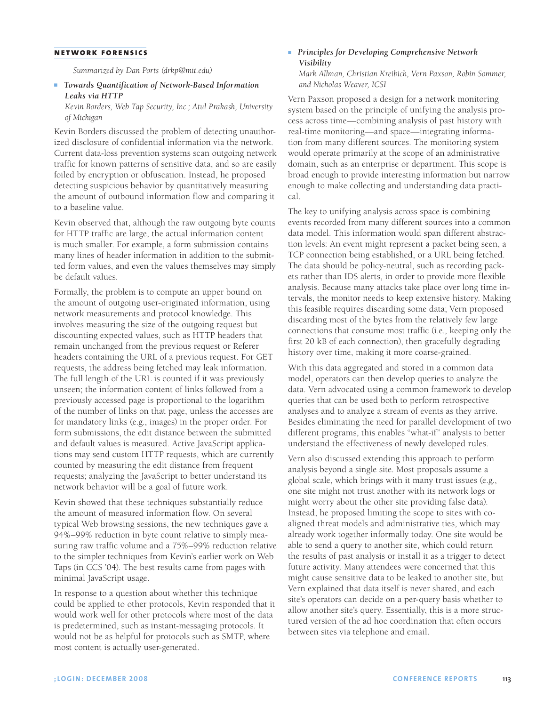#### **network forensics**

*Summarized by Dan Ports (drkp@mit.edu)*

### **n** Towards Quantification of Network-Based Information *Leaks via HTTP*

*Kevin Borders, Web Tap Security, Inc.; Atul Prakash, University of Michigan*

Kevin Borders discussed the problem of detecting unauthorized disclosure of confidential information via the network. Current data-loss prevention systems scan outgoing network traffic for known patterns of sensitive data, and so are easily foiled by encryption or obfuscation. Instead, he proposed detecting suspicious behavior by quantitatively measuring the amount of outbound information flow and comparing it to a baseline value.

Kevin observed that, although the raw outgoing byte counts for HTTP traffic are large, the actual information content is much smaller. For example, a form submission contains many lines of header information in addition to the submitted form values, and even the values themselves may simply be default values.

Formally, the problem is to compute an upper bound on the amount of outgoing user-originated information, using network measurements and protocol knowledge. This involves measuring the size of the outgoing request but discounting expected values, such as HTTP headers that remain unchanged from the previous request or Referer headers containing the URL of a previous request. For GET requests, the address being fetched may leak information. The full length of the URL is counted if it was previously unseen; the information content of links followed from a previously accessed page is proportional to the logarithm of the number of links on that page, unless the accesses are for mandatory links (e.g., images) in the proper order. For form submissions, the edit distance between the submitted and default values is measured. Active JavaScript applications may send custom HTTP requests, which are currently counted by measuring the edit distance from frequent requests; analyzing the JavaScript to better understand its network behavior will be a goal of future work.

Kevin showed that these techniques substantially reduce the amount of measured information flow. On several typical Web browsing sessions, the new techniques gave a 94%–99% reduction in byte count relative to simply measuring raw traffic volume and a 75%–99% reduction relative to the simpler techniques from Kevin's earlier work on Web Taps (in CCS '04). The best results came from pages with minimal JavaScript usage.

In response to a question about whether this technique could be applied to other protocols, Kevin responded that it would work well for other protocols where most of the data is predetermined, such as instant-messaging protocols. It would not be as helpful for protocols such as SMTP, where most content is actually user-generated.

### ■ *Principles for Developing Comprehensive Network Visibility Mark Allman, Christian Kreibich, Vern Paxson, Robin Sommer,*

*and Nicholas Weaver, ICSI*

Vern Paxson proposed a design for a network monitoring system based on the principle of unifying the analysis process across time—combining analysis of past history with real-time monitoring—and space—integrating information from many different sources. The monitoring system would operate primarily at the scope of an administrative domain, such as an enterprise or department. This scope is broad enough to provide interesting information but narrow enough to make collecting and understanding data practical.

The key to unifying analysis across space is combining events recorded from many different sources into a common data model. This information would span different abstraction levels: An event might represent a packet being seen, a TCP connection being established, or a URL being fetched. The data should be policy-neutral, such as recording packets rather than IDS alerts, in order to provide more flexible analysis. Because many attacks take place over long time intervals, the monitor needs to keep extensive history. Making this feasible requires discarding some data; Vern proposed discarding most of the bytes from the relatively few large connections that consume most traffic (i.e., keeping only the first 20 kB of each connection), then gracefully degrading history over time, making it more coarse-grained.

With this data aggregated and stored in a common data model, operators can then develop queries to analyze the data. Vern advocated using a common framework to develop queries that can be used both to perform retrospective analyses and to analyze a stream of events as they arrive. Besides eliminating the need for parallel development of two different programs, this enables "what-if" analysis to better understand the effectiveness of newly developed rules.

Vern also discussed extending this approach to perform analysis beyond a single site. Most proposals assume a global scale, which brings with it many trust issues (e.g., one site might not trust another with its network logs or might worry about the other site providing false data). Instead, he proposed limiting the scope to sites with coaligned threat models and administrative ties, which may already work together informally today. One site would be able to send a query to another site, which could return the results of past analysis or install it as a trigger to detect future activity. Many attendees were concerned that this might cause sensitive data to be leaked to another site, but Vern explained that data itself is never shared, and each site's operators can decide on a per-query basis whether to allow another site's query. Essentially, this is a more structured version of the ad hoc coordination that often occurs between sites via telephone and email.